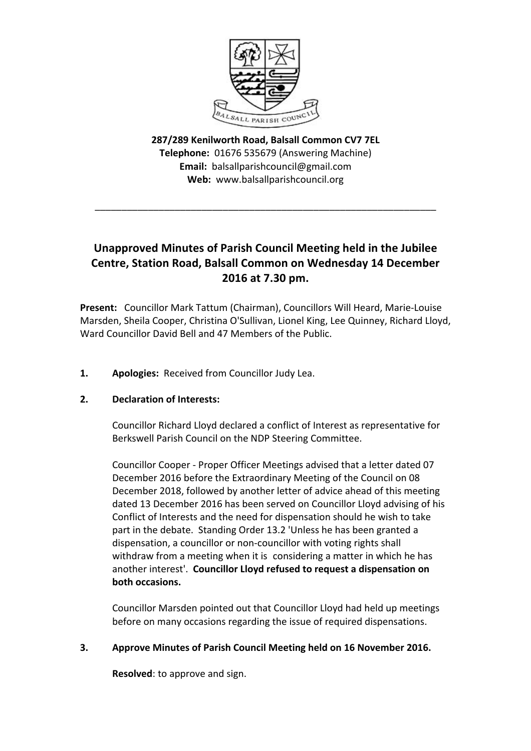

**287/289 Kenilworth Road, Balsall Common CV7 7EL Telephone:** 01676 535679 (Answering Machine) **Email:** balsallparishcouncil@gmail.com Web: www.balsallparishcouncil.org

\_\_\_\_\_\_\_\_\_\_\_\_\_\_\_\_\_\_\_\_\_\_\_\_\_\_\_\_\_\_\_\_\_\_\_\_\_\_\_\_\_\_\_\_\_\_\_\_\_\_\_\_\_\_\_\_\_\_\_\_\_\_\_\_

# **Unapproved Minutes of Parish Council Meeting held in the Jubilee Centre, Station Road, Balsall Common on Wednesday 14 December 2016 at 7.30 pm.**

**Present:** Councillor Mark Tattum (Chairman), Councillors Will Heard, Marie-Louise Marsden, Sheila Cooper, Christina O'Sullivan, Lionel King, Lee Quinney, Richard Lloyd, Ward Councillor David Bell and 47 Members of the Public.

**1. Apologies:** Received from Councillor Judy Lea.

# 2. **Declaration of Interests:**

Councillor Richard Lloyd declared a conflict of Interest as representative for Berkswell Parish Council on the NDP Steering Committee.

Councillor Cooper - Proper Officer Meetings advised that a letter dated 07 December 2016 before the Extraordinary Meeting of the Council on 08 December 2018, followed by another letter of advice ahead of this meeting dated 13 December 2016 has been served on Councillor Lloyd advising of his Conflict of Interests and the need for dispensation should he wish to take part in the debate. Standing Order 13.2 'Unless he has been granted a dispensation, a councillor or non-councillor with voting rights shall withdraw from a meeting when it is considering a matter in which he has another interest'. Councillor Lloyd refused to request a dispensation on **both occasions.** 

Councillor Marsden pointed out that Councillor Lloyd had held up meetings before on many occasions regarding the issue of required dispensations.

# **3. Approve Minutes of Parish Council Meeting held on 16 November 2016.**

**Resolved**: to approve and sign.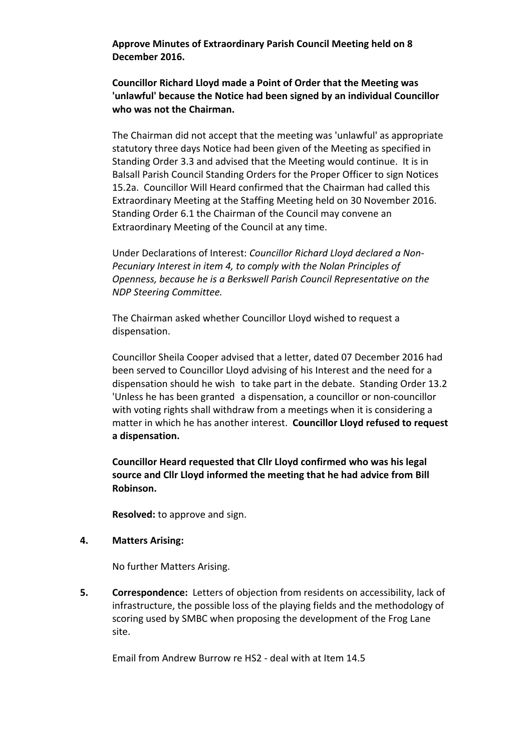Approve Minutes of Extraordinary Parish Council Meeting held on 8 **December 2016.**

**Councillor Richard Lloyd made a Point of Order that the Meeting was** 'unlawful' because the Notice had been signed by an individual Councillor who was not the Chairman.

The Chairman did not accept that the meeting was 'unlawful' as appropriate statutory three days Notice had been given of the Meeting as specified in Standing Order 3.3 and advised that the Meeting would continue. It is in Balsall Parish Council Standing Orders for the Proper Officer to sign Notices 15.2a. Councillor Will Heard confirmed that the Chairman had called this Extraordinary Meeting at the Staffing Meeting held on 30 November 2016. Standing Order 6.1 the Chairman of the Council may convene an Extraordinary Meeting of the Council at any time.

Under Declarations of Interest: *Councillor Richard Lloyd declared a Non-Pecuniary Interest in item 4, to comply with the Nolan Principles of Openness, because he is a Berkswell Parish Council Representative on the NDP Steering Committee.*

The Chairman asked whether Councillor Lloyd wished to request a dispensation.

Councillor Sheila Cooper advised that a letter, dated 07 December 2016 had been served to Councillor Lloyd advising of his Interest and the need for a dispensation should he wish to take part in the debate. Standing Order 13.2 'Unless he has been granted a dispensation, a councillor or non-councillor with voting rights shall withdraw from a meetings when it is considering a matter in which he has another interest. **Councillor Lloyd refused to request a dispensation.**

**Councillor Heard requested that Cllr Lloyd confirmed who was his legal** source and Cllr Lloyd informed the meeting that he had advice from Bill **Robinson.**

**Resolved:** to approve and sign.

#### **4. Matters Arising:**

No further Matters Arising.

**5. Correspondence:** Letters of objection from residents on accessibility, lack of infrastructure, the possible loss of the playing fields and the methodology of scoring used by SMBC when proposing the development of the Frog Lane site.

Email from Andrew Burrow re HS2 - deal with at Item 14.5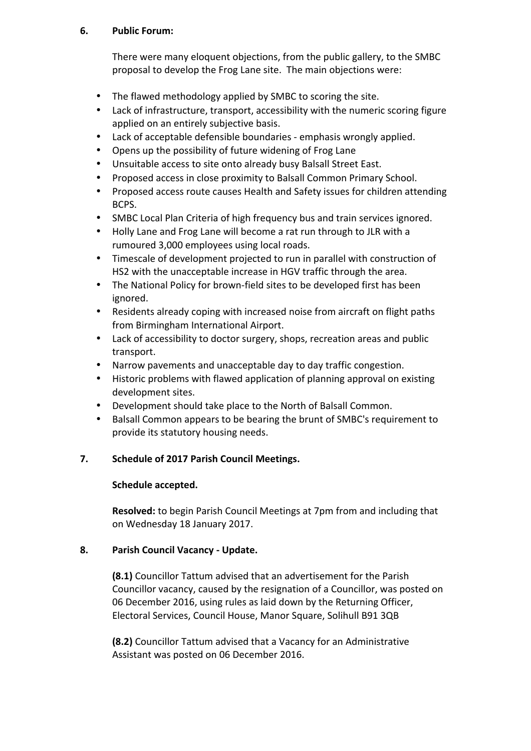# **6. Public Forum:**

There were many eloquent objections, from the public gallery, to the SMBC proposal to develop the Frog Lane site. The main objections were:

- The flawed methodology applied by SMBC to scoring the site.
- Lack of infrastructure, transport, accessibility with the numeric scoring figure applied on an entirely subjective basis.
- Lack of acceptable defensible boundaries emphasis wrongly applied.
- Opens up the possibility of future widening of Frog Lane
- Unsuitable access to site onto already busy Balsall Street East.
- Proposed access in close proximity to Balsall Common Primary School.
- Proposed access route causes Health and Safety issues for children attending BCPS.
- SMBC Local Plan Criteria of high frequency bus and train services ignored.
- Holly Lane and Frog Lane will become a rat run through to JLR with a rumoured 3,000 employees using local roads.
- Timescale of development projected to run in parallel with construction of HS2 with the unacceptable increase in HGV traffic through the area.
- The National Policy for brown-field sites to be developed first has been ignored.
- Residents already coping with increased noise from aircraft on flight paths from Birmingham International Airport.
- Lack of accessibility to doctor surgery, shops, recreation areas and public transport.
- Narrow pavements and unacceptable day to day traffic congestion.
- Historic problems with flawed application of planning approval on existing development sites.
- Development should take place to the North of Balsall Common.
- Balsall Common appears to be bearing the brunt of SMBC's requirement to provide its statutory housing needs.

# 7. Schedule of 2017 Parish Council Meetings.

# **Schedule accepted.**

**Resolved:** to begin Parish Council Meetings at 7pm from and including that on Wednesday 18 January 2017.

# **8. Parish Council Vacancy - Update.**

**(8.1)** Councillor Tattum advised that an advertisement for the Parish Councillor vacancy, caused by the resignation of a Councillor, was posted on 06 December 2016, using rules as laid down by the Returning Officer, Electoral Services, Council House, Manor Square, Solihull B91 3QB

**(8.2)** Councillor Tattum advised that a Vacancy for an Administrative Assistant was posted on 06 December 2016.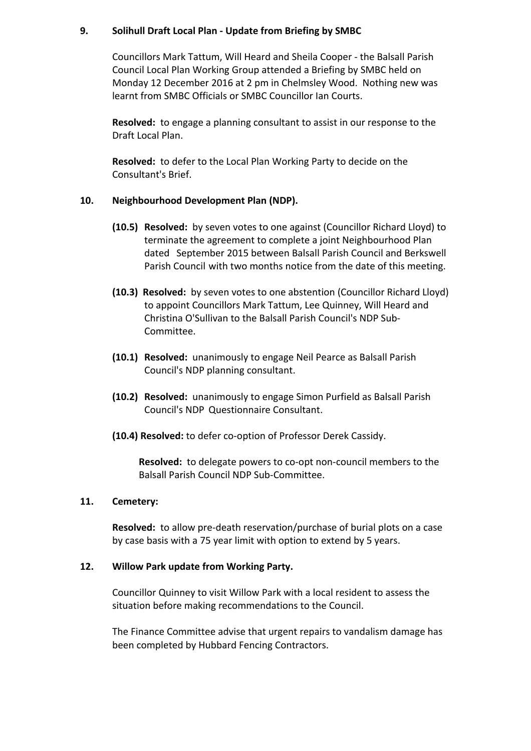#### **9. Solihull Draft Local Plan - Update from Briefing by SMBC**

Councillors Mark Tattum, Will Heard and Sheila Cooper - the Balsall Parish Council Local Plan Working Group attended a Briefing by SMBC held on Monday 12 December 2016 at 2 pm in Chelmsley Wood. Nothing new was learnt from SMBC Officials or SMBC Councillor Ian Courts.

**Resolved:** to engage a planning consultant to assist in our response to the Draft Local Plan.

**Resolved:** to defer to the Local Plan Working Party to decide on the Consultant's Brief.

## 10. Neighbourhood Development Plan (NDP).

- **(10.5) Resolved:** by seven votes to one against (Councillor Richard Lloyd) to terminate the agreement to complete a joint Neighbourhood Plan dated September 2015 between Balsall Parish Council and Berkswell Parish Council with two months notice from the date of this meeting.
- **(10.3) Resolved:** by seven votes to one abstention (Councillor Richard Lloyd) to appoint Councillors Mark Tattum, Lee Quinney, Will Heard and Christina O'Sullivan to the Balsall Parish Council's NDP Sub-Committee.
- **(10.1) Resolved:** unanimously to engage Neil Pearce as Balsall Parish Council's NDP planning consultant.
- **(10.2) Resolved:** unanimously to engage Simon Purfield as Balsall Parish Council's NDP Questionnaire Consultant.
- **(10.4) Resolved:** to defer co-option of Professor Derek Cassidy.

**Resolved:** to delegate powers to co-opt non-council members to the Balsall Parish Council NDP Sub-Committee.

#### **11. Cemetery:**

**Resolved:** to allow pre-death reservation/purchase of burial plots on a case by case basis with a 75 year limit with option to extend by 5 years.

#### 12. **Willow Park update from Working Party.**

Councillor Quinney to visit Willow Park with a local resident to assess the situation before making recommendations to the Council.

The Finance Committee advise that urgent repairs to vandalism damage has been completed by Hubbard Fencing Contractors.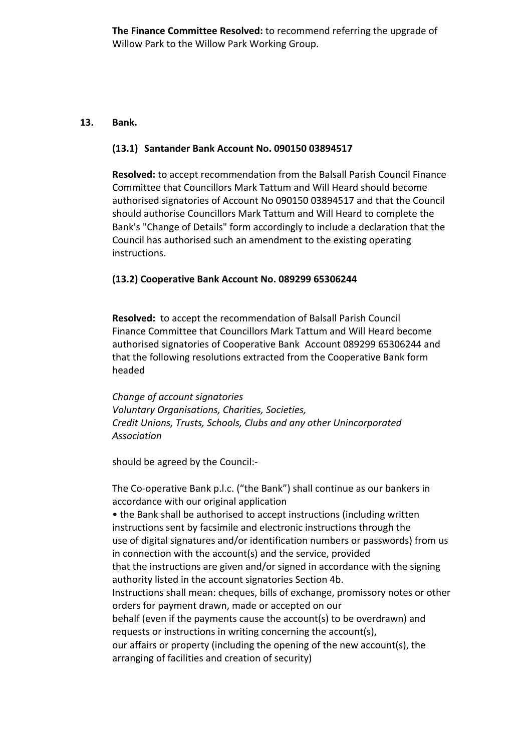**The Finance Committee Resolved:** to recommend referring the upgrade of Willow Park to the Willow Park Working Group.

## **13. Bank.**

## **(13.1) Santander Bank Account No. 090150 03894517**

**Resolved:** to accept recommendation from the Balsall Parish Council Finance Committee that Councillors Mark Tattum and Will Heard should become authorised signatories of Account No 090150 03894517 and that the Council should authorise Councillors Mark Tattum and Will Heard to complete the Bank's "Change of Details" form accordingly to include a declaration that the Council has authorised such an amendment to the existing operating instructions.

# **(13.2) Cooperative Bank Account No. 089299 65306244**

**Resolved:** to accept the recommendation of Balsall Parish Council Finance Committee that Councillors Mark Tattum and Will Heard become authorised signatories of Cooperative Bank Account 089299 65306244 and that the following resolutions extracted from the Cooperative Bank form headed 

*Change of account signatories Voluntary Organisations, Charities, Societies, Credit Unions, Trusts, Schools, Clubs and any other Unincorporated Association*

should be agreed by the Council:-

The Co-operative Bank p.l.c. ("the Bank") shall continue as our bankers in accordance with our original application • the Bank shall be authorised to accept instructions (including written instructions sent by facsimile and electronic instructions through the use of digital signatures and/or identification numbers or passwords) from us in connection with the account(s) and the service, provided that the instructions are given and/or signed in accordance with the signing authority listed in the account signatories Section 4b. Instructions shall mean: cheques, bills of exchange, promissory notes or other orders for payment drawn, made or accepted on our behalf (even if the payments cause the account(s) to be overdrawn) and requests or instructions in writing concerning the account(s), our affairs or property (including the opening of the new account(s), the arranging of facilities and creation of security)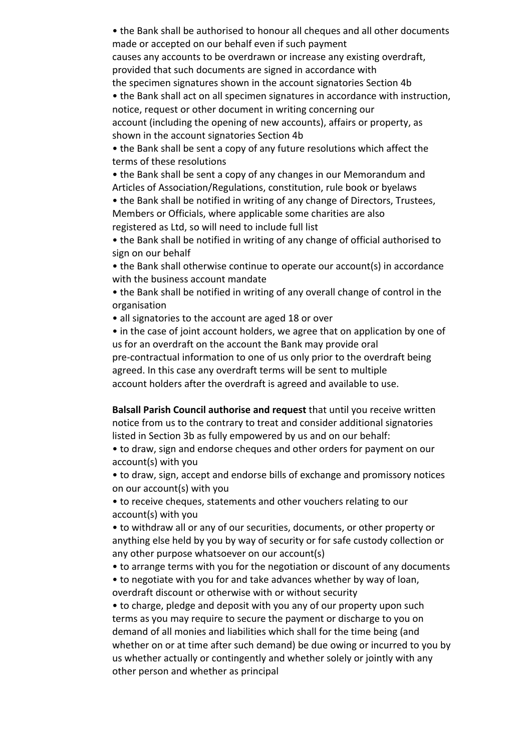• the Bank shall be authorised to honour all cheques and all other documents made or accepted on our behalf even if such payment causes any accounts to be overdrawn or increase any existing overdraft, provided that such documents are signed in accordance with the specimen signatures shown in the account signatories Section 4b

• the Bank shall act on all specimen signatures in accordance with instruction, notice, request or other document in writing concerning our account (including the opening of new accounts), affairs or property, as shown in the account signatories Section 4b

• the Bank shall be sent a copy of any future resolutions which affect the terms of these resolutions

• the Bank shall be sent a copy of any changes in our Memorandum and Articles of Association/Regulations, constitution, rule book or byelaws

• the Bank shall be notified in writing of any change of Directors, Trustees, Members or Officials, where applicable some charities are also registered as Ltd, so will need to include full list

• the Bank shall be notified in writing of any change of official authorised to sign on our behalf

• the Bank shall otherwise continue to operate our account(s) in accordance with the business account mandate

• the Bank shall be notified in writing of any overall change of control in the organisation

• all signatories to the account are aged 18 or over

• in the case of joint account holders, we agree that on application by one of us for an overdraft on the account the Bank may provide oral pre-contractual information to one of us only prior to the overdraft being agreed. In this case any overdraft terms will be sent to multiple account holders after the overdraft is agreed and available to use.

**Balsall Parish Council authorise and request** that until you receive written notice from us to the contrary to treat and consider additional signatories listed in Section 3b as fully empowered by us and on our behalf:

• to draw, sign and endorse cheques and other orders for payment on our account(s) with you

• to draw, sign, accept and endorse bills of exchange and promissory notices on our account(s) with you

• to receive cheques, statements and other vouchers relating to our account(s) with you

• to withdraw all or any of our securities, documents, or other property or anything else held by you by way of security or for safe custody collection or any other purpose whatsoever on our account(s)

• to arrange terms with you for the negotiation or discount of any documents

• to negotiate with you for and take advances whether by way of loan, overdraft discount or otherwise with or without security

• to charge, pledge and deposit with you any of our property upon such terms as you may require to secure the payment or discharge to you on demand of all monies and liabilities which shall for the time being (and whether on or at time after such demand) be due owing or incurred to you by us whether actually or contingently and whether solely or jointly with any other person and whether as principal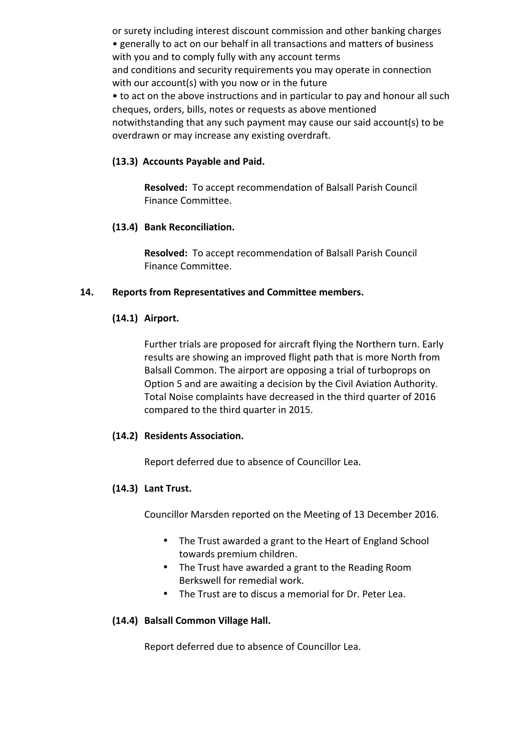or surety including interest discount commission and other banking charges • generally to act on our behalf in all transactions and matters of business with you and to comply fully with any account terms and conditions and security requirements you may operate in connection with our account(s) with you now or in the future

• to act on the above instructions and in particular to pay and honour all such cheques, orders, bills, notes or requests as above mentioned notwithstanding that any such payment may cause our said account(s) to be overdrawn or may increase any existing overdraft.

# **(13.3) Accounts Payable and Paid.**

**Resolved:** To accept recommendation of Balsall Parish Council Finance Committee.

## **(13.4) Bank Reconciliation.**

**Resolved:** To accept recommendation of Balsall Parish Council Finance Committee.

## 14. Reports from Representatives and Committee members.

## **(14.1) Airport.**

Further trials are proposed for aircraft flying the Northern turn. Early results are showing an improved flight path that is more North from Balsall Common. The airport are opposing a trial of turboprops on Option 5 and are awaiting a decision by the Civil Aviation Authority. Total Noise complaints have decreased in the third quarter of 2016 compared to the third quarter in 2015.

#### **(14.2) Residents Association.**

Report deferred due to absence of Councillor Lea.

# **(14.3) Lant Trust.**

Councillor Marsden reported on the Meeting of 13 December 2016.

- The Trust awarded a grant to the Heart of England School towards premium children.
- The Trust have awarded a grant to the Reading Room Berkswell for remedial work.
- The Trust are to discus a memorial for Dr. Peter Lea.

# **(14.4) Balsall Common Village Hall.**

Report deferred due to absence of Councillor Lea.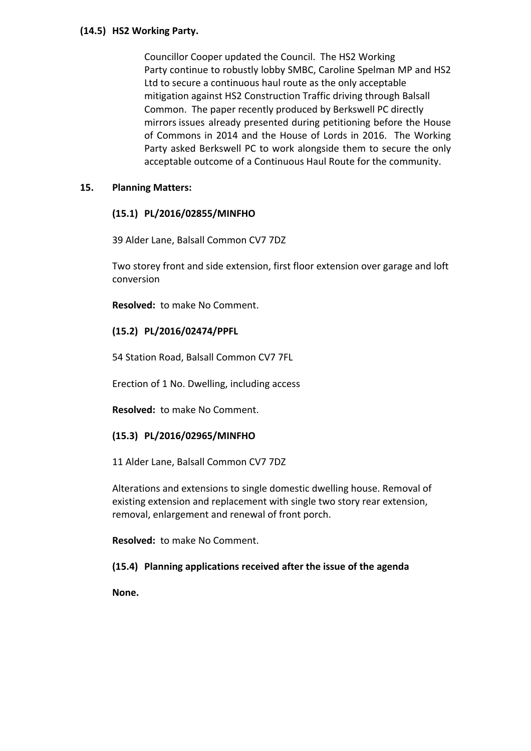#### **(14.5) HS2 Working Party.**

Councillor Cooper updated the Council. The HS2 Working Party continue to robustly lobby SMBC, Caroline Spelman MP and HS2 Ltd to secure a continuous haul route as the only acceptable mitigation against HS2 Construction Traffic driving through Balsall Common. The paper recently produced by Berkswell PC directly mirrors issues already presented during petitioning before the House of Commons in 2014 and the House of Lords in 2016. The Working Party asked Berkswell PC to work alongside them to secure the only acceptable outcome of a Continuous Haul Route for the community.

# **15. Planning Matters:**

# **(15.1) PL/2016/02855/MINFHO**

39 Alder Lane, Balsall Common CV7 7DZ

Two storey front and side extension, first floor extension over garage and loft conversion

**Resolved:** to make No Comment.

## **(15.2) PL/2016/02474/PPFL**

54 Station Road, Balsall Common CV7 7FL

Erection of 1 No. Dwelling, including access

**Resolved:** to make No Comment.

#### **(15.3) PL/2016/02965/MINFHO**

11 Alder Lane, Balsall Common CV7 7DZ

Alterations and extensions to single domestic dwelling house. Removal of existing extension and replacement with single two story rear extension, removal, enlargement and renewal of front porch.

**Resolved:** to make No Comment.

# **(15.4) Planning applications received after the issue of the agenda**

**None.**